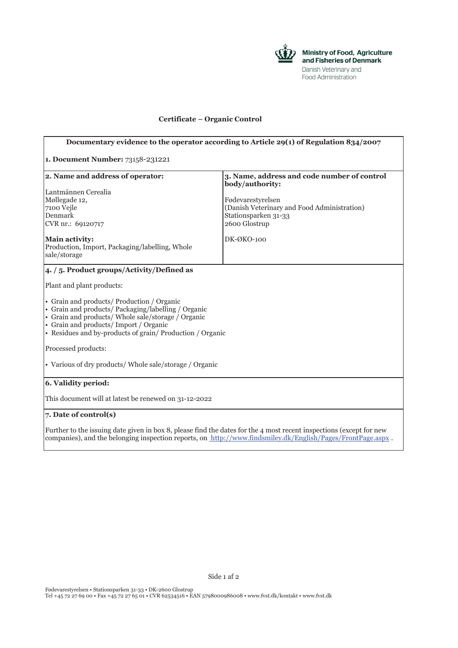

## **Certificate – Organic Control**

| Documentary evidence to the operator according to Article 29(1) of Regulation 834/2007                                                                                                                                                                       |                                                                |
|--------------------------------------------------------------------------------------------------------------------------------------------------------------------------------------------------------------------------------------------------------------|----------------------------------------------------------------|
| 1. Document Number: 73158-231221                                                                                                                                                                                                                             |                                                                |
| 2. Name and address of operator:                                                                                                                                                                                                                             | 3. Name, address and code number of control<br>body/authority: |
| Lantmännen Cerealia                                                                                                                                                                                                                                          |                                                                |
| Møllegade 12,                                                                                                                                                                                                                                                | Fødevarestyrelsen                                              |
| 7100 Vejle                                                                                                                                                                                                                                                   | (Danish Veterinary and Food Administration)                    |
| Denmark                                                                                                                                                                                                                                                      | Stationsparken 31-33                                           |
| CVR nr.: 69120717                                                                                                                                                                                                                                            | 2600 Glostrup                                                  |
| Main activity:<br>Production, Import, Packaging/labelling, Whole<br>sale/storage                                                                                                                                                                             | DK-ØKO-100                                                     |
| 4. / 5. Product groups/Activity/Defined as                                                                                                                                                                                                                   |                                                                |
| Plant and plant products:                                                                                                                                                                                                                                    |                                                                |
| • Grain and products/ Production / Organic<br>• Grain and products/ Packaging/labelling / Organic<br>• Grain and products/ Whole sale/storage / Organic<br>• Grain and products/Import / Organic<br>• Residues and by-products of grain/Production / Organic |                                                                |
| Processed products:                                                                                                                                                                                                                                          |                                                                |
| • Various of dry products/ Whole sale/storage / Organic                                                                                                                                                                                                      |                                                                |
| 6. Validity period:                                                                                                                                                                                                                                          |                                                                |
| This document will at latest be renewed on 31-12-2022                                                                                                                                                                                                        |                                                                |
| 7. Date of control(s)                                                                                                                                                                                                                                        |                                                                |
| Further to the issuing date given in box 8, please find the dates for the 4 most recent inspections (except for new                                                                                                                                          |                                                                |

companies), and the belonging inspection reports, on http://www.findsmiley.dk/English/Pages/FrontPage.aspx .